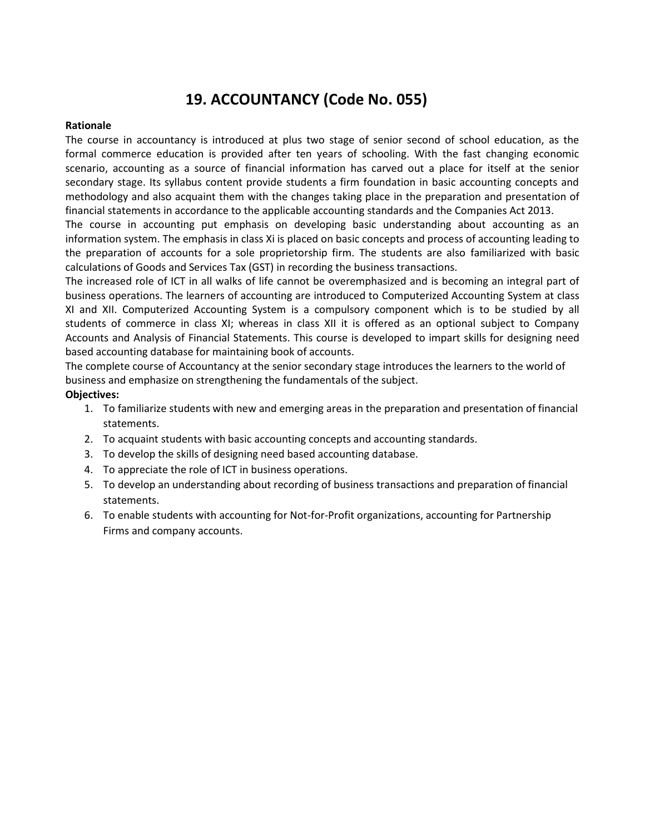# **19. ACCOUNTANCY (Code No. 055)**

## **Rationale**

The course in accountancy is introduced at plus two stage of senior second of school education, as the formal commerce education is provided after ten years of schooling. With the fast changing economic scenario, accounting as a source of financial information has carved out a place for itself at the senior secondary stage. Its syllabus content provide students a firm foundation in basic accounting concepts and methodology and also acquaint them with the changes taking place in the preparation and presentation of financial statements in accordance to the applicable accounting standards and the Companies Act 2013.

The course in accounting put emphasis on developing basic understanding about accounting as an information system. The emphasis in class Xi is placed on basic concepts and process of accounting leading to the preparation of accounts for a sole proprietorship firm. The students are also familiarized with basic calculations of Goods and Services Tax (GST) in recording the business transactions.

The increased role of ICT in all walks of life cannot be overemphasized and is becoming an integral part of business operations. The learners of accounting are introduced to Computerized Accounting System at class XI and XII. Computerized Accounting System is a compulsory component which is to be studied by all students of commerce in class XI; whereas in class XII it is offered as an optional subject to Company Accounts and Analysis of Financial Statements. This course is developed to impart skills for designing need based accounting database for maintaining book of accounts.

The complete course of Accountancy at the senior secondary stage introduces the learners to the world of business and emphasize on strengthening the fundamentals of the subject.

# **Objectives:**

- 1. To familiarize students with new and emerging areas in the preparation and presentation of financial statements.
- 2. To acquaint students with basic accounting concepts and accounting standards.
- 3. To develop the skills of designing need based accounting database.
- 4. To appreciate the role of ICT in business operations.
- 5. To develop an understanding about recording of business transactions and preparation of financial statements.
- 6. To enable students with accounting for Not-for-Profit organizations, accounting for Partnership Firms and company accounts.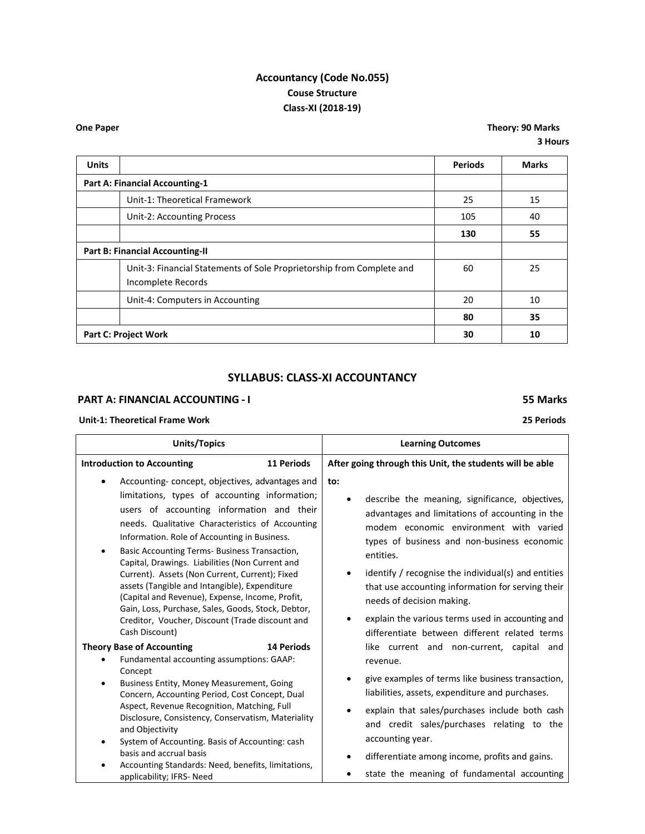# **Accountancy (Code No.055) Couse Structure Class-XI (2018-19)**

**One Paper Theory: 90 Marks 3 Hours**

| <b>Units</b>                           |                                                                                             | <b>Periods</b> | <b>Marks</b> |
|----------------------------------------|---------------------------------------------------------------------------------------------|----------------|--------------|
|                                        | <b>Part A: Financial Accounting-1</b>                                                       |                |              |
|                                        | Unit-1: Theoretical Framework                                                               | 25             | 15           |
|                                        | Unit-2: Accounting Process                                                                  | 105            | 40           |
|                                        |                                                                                             | 130            | 55           |
| <b>Part B: Financial Accounting-II</b> |                                                                                             |                |              |
|                                        | Unit-3: Financial Statements of Sole Proprietorship from Complete and<br>Incomplete Records | 60             | 25           |
|                                        | Unit-4: Computers in Accounting                                                             | 20             | 10           |
|                                        |                                                                                             | 80             | 35           |
| <b>Part C: Project Work</b>            |                                                                                             | 30             | 10           |

# **SYLLABUS: CLASS-XI ACCOUNTANCY**

## **PART A: FINANCIAL ACCOUNTING - I 55 Marks**

### **Unit-1: Theoretical Frame Work 25 Periods**

#### **Units/Topics Learning Outcomes Introduction to Accounting 11 Periods** Accounting- concept, objectives, advantages and limitations, types of accounting information; users of accounting information and their needs. Qualitative Characteristics of Accounting Information. Role of Accounting in Business. Basic Accounting Terms- Business Transaction, Capital, Drawings. Liabilities (Non Current and Current). Assets (Non Current, Current); Fixed assets (Tangible and Intangible), Expenditure (Capital and Revenue), Expense, Income, Profit, Gain, Loss, Purchase, Sales, Goods, Stock, Debtor, Creditor, Voucher, Discount (Trade discount and Cash Discount) **Theory Base of Accounting 14 Periods** Fundamental accounting assumptions: GAAP: Concept Business Entity, Money Measurement, Going Concern, Accounting Period, Cost Concept, Dual Aspect, Revenue Recognition, Matching, Full Disclosure, Consistency, Conservatism, Materiality and Objectivity System of Accounting. Basis of Accounting: cash basis and accrual basis **After going through this Unit, the students will be able to:** describe the meaning, significance, objectives, advantages and limitations of accounting in the modem economic environment with varied types of business and non-business economic entities. needs of decision making. revenue. liabilities, assets, expenditure and purchases. accounting year. differentiate among income, profits and gains.

 Accounting Standards: Need, benefits, limitations, applicability; IFRS- Need

- 
- identify / recognise the individual(s) and entities that use accounting information for serving their
- explain the various terms used in accounting and differentiate between different related terms like current and non-current, capital and
- give examples of terms like business transaction,
- explain that sales/purchases include both cash and credit sales/purchases relating to the
- state the meaning of fundamental accounting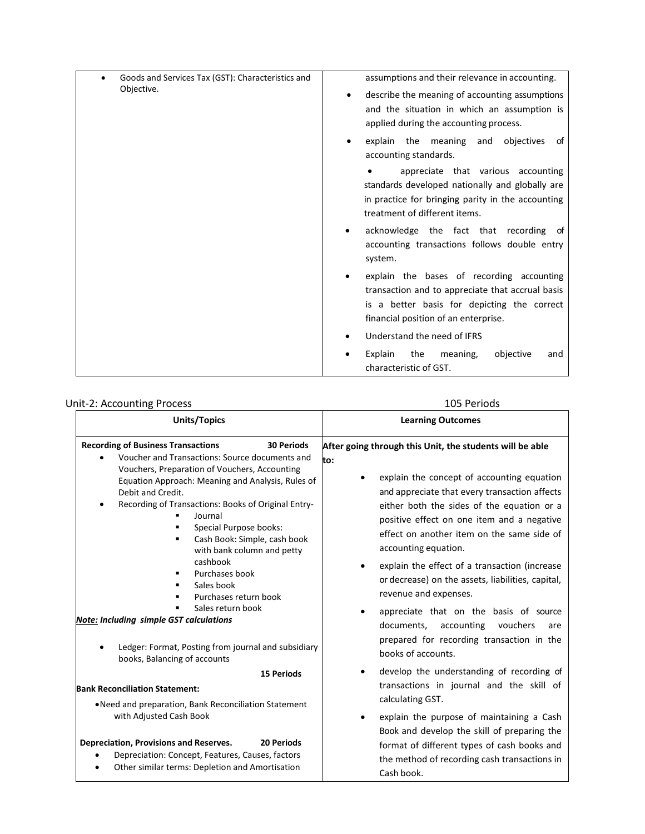| Goods and Services Tax (GST): Characteristics and | assumptions and their relevance in accounting.                                                                                                                                       |
|---------------------------------------------------|--------------------------------------------------------------------------------------------------------------------------------------------------------------------------------------|
| Objective.                                        | describe the meaning of accounting assumptions<br>٠<br>and the situation in which an assumption is<br>applied during the accounting process.                                         |
|                                                   | explain the meaning and objectives<br>of<br>accounting standards.                                                                                                                    |
|                                                   | appreciate that various accounting<br>standards developed nationally and globally are<br>in practice for bringing parity in the accounting<br>treatment of different items.          |
|                                                   | acknowledge the fact that recording of<br>accounting transactions follows double entry<br>system.                                                                                    |
|                                                   | explain the bases of recording accounting<br>transaction and to appreciate that accrual basis<br>is a better basis for depicting the correct<br>financial position of an enterprise. |
|                                                   | Understand the need of IFRS                                                                                                                                                          |
|                                                   | Explain<br>the<br>meaning,<br>objective<br>and<br>characteristic of GST.                                                                                                             |

# Unit-2: Accounting Process 105 Periods

| <b>Units/Topics</b>                                                                                                                                                                                                                                                                                                                                                                                                                                                                                                                                                                                                          | <b>Learning Outcomes</b>                                                                                                                                                                                                                                                                                                                                                                                                                                                                                                                                                                                                    |
|------------------------------------------------------------------------------------------------------------------------------------------------------------------------------------------------------------------------------------------------------------------------------------------------------------------------------------------------------------------------------------------------------------------------------------------------------------------------------------------------------------------------------------------------------------------------------------------------------------------------------|-----------------------------------------------------------------------------------------------------------------------------------------------------------------------------------------------------------------------------------------------------------------------------------------------------------------------------------------------------------------------------------------------------------------------------------------------------------------------------------------------------------------------------------------------------------------------------------------------------------------------------|
| <b>Recording of Business Transactions</b><br><b>30 Periods</b><br>Voucher and Transactions: Source documents and<br>Vouchers, Preparation of Vouchers, Accounting<br>Equation Approach: Meaning and Analysis, Rules of<br>Debit and Credit.<br>Recording of Transactions: Books of Original Entry-<br>٠<br>Journal<br>Special Purpose books:<br>Cash Book: Simple, cash book<br>٠<br>with bank column and petty<br>cashbook<br>Purchases book<br>٠<br>Sales book<br>٠<br>Purchases return book<br>Sales return book<br><b>Note: Including simple GST calculations</b><br>Ledger: Format, Posting from journal and subsidiary | After going through this Unit, the students will be able<br>to:<br>explain the concept of accounting equation<br>and appreciate that every transaction affects<br>either both the sides of the equation or a<br>positive effect on one item and a negative<br>effect on another item on the same side of<br>accounting equation.<br>explain the effect of a transaction (increase<br>or decrease) on the assets, liabilities, capital,<br>revenue and expenses.<br>appreciate that on the basis of source<br>documents,<br>accounting<br>vouchers<br>are<br>prepared for recording transaction in the<br>books of accounts. |
| books, Balancing of accounts                                                                                                                                                                                                                                                                                                                                                                                                                                                                                                                                                                                                 | develop the understanding of recording of                                                                                                                                                                                                                                                                                                                                                                                                                                                                                                                                                                                   |
| <b>15 Periods</b>                                                                                                                                                                                                                                                                                                                                                                                                                                                                                                                                                                                                            | ٠                                                                                                                                                                                                                                                                                                                                                                                                                                                                                                                                                                                                                           |
| <b>Bank Reconciliation Statement:</b>                                                                                                                                                                                                                                                                                                                                                                                                                                                                                                                                                                                        | transactions in journal and the skill of                                                                                                                                                                                                                                                                                                                                                                                                                                                                                                                                                                                    |
| . Need and preparation, Bank Reconciliation Statement                                                                                                                                                                                                                                                                                                                                                                                                                                                                                                                                                                        | calculating GST.                                                                                                                                                                                                                                                                                                                                                                                                                                                                                                                                                                                                            |
| with Adjusted Cash Book                                                                                                                                                                                                                                                                                                                                                                                                                                                                                                                                                                                                      | explain the purpose of maintaining a Cash                                                                                                                                                                                                                                                                                                                                                                                                                                                                                                                                                                                   |
| Depreciation, Provisions and Reserves.                                                                                                                                                                                                                                                                                                                                                                                                                                                                                                                                                                                       | Book and develop the skill of preparing the                                                                                                                                                                                                                                                                                                                                                                                                                                                                                                                                                                                 |
| 20 Periods                                                                                                                                                                                                                                                                                                                                                                                                                                                                                                                                                                                                                   | format of different types of cash books and                                                                                                                                                                                                                                                                                                                                                                                                                                                                                                                                                                                 |
| Depreciation: Concept, Features, Causes, factors                                                                                                                                                                                                                                                                                                                                                                                                                                                                                                                                                                             | the method of recording cash transactions in                                                                                                                                                                                                                                                                                                                                                                                                                                                                                                                                                                                |
| Other similar terms: Depletion and Amortisation                                                                                                                                                                                                                                                                                                                                                                                                                                                                                                                                                                              | Cash book.                                                                                                                                                                                                                                                                                                                                                                                                                                                                                                                                                                                                                  |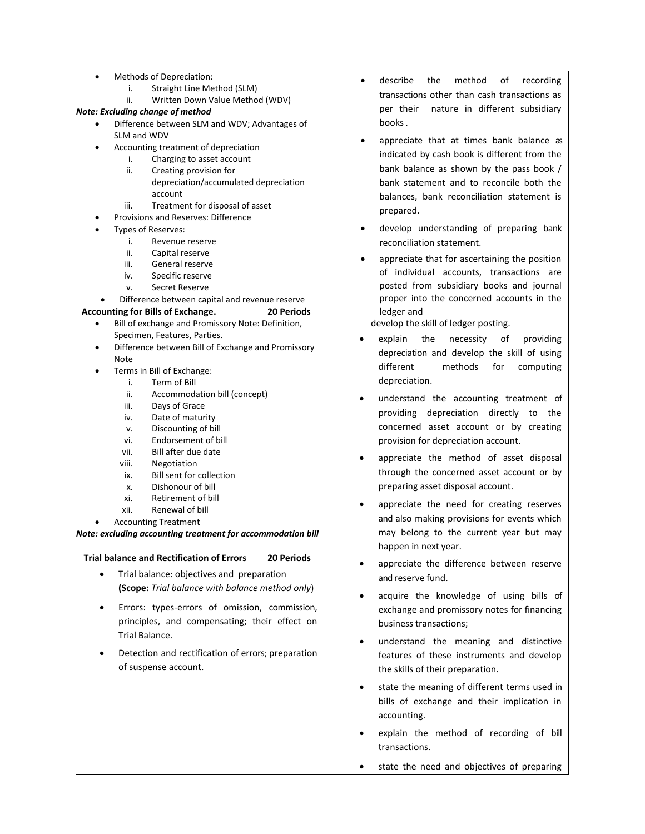- Methods of Depreciation:
	- i. Straight Line Method (SLM)
	- ii. Written Down Value Method (WDV)

### *Note: Excluding change of method*

- Difference between SLM and WDV; Advantages of SLM and WDV
- Accounting treatment of depreciation
	- i. Charging to asset account
	- ii. Creating provision for depreciation/accumulated depreciation account
	- iii. Treatment for disposal of asset
- Provisions and Reserves: Difference
- Types of Reserves:
	- i. Revenue reserve
		- ii. Capital reserve
	- iii. General reserve
	- iv. Specific reserve
	- v. Secret Reserve
- Difference between capital and revenue reserve

### **Accounting for Bills of Exchange. 20 Periods**

- Bill of exchange and Promissory Note: Definition, Specimen, Features, Parties.
- Difference between Bill of Exchange and Promissory Note
	- Terms in Bill of Exchange:
		- i. Term of Bill
		- Accommodation bill (concept)
		- iii. Days of Grace
		- iv. Date of maturity
		- v. Discounting of bill
		- vi. Endorsement of bill
		- vii. Bill after due date
		- viii. Negotiation
		- ix. Bill sent for collection
		- x. Dishonour of bill
		- xi. Retirement of bill
		- xii. Renewal of bill
- Accounting Treatment

### *Note: excluding accounting treatment for accommodation bill*

## **Trial balance and Rectification of Errors 20 Periods**

- Trial balance: objectives and preparation **(Scope:** *Trial balance with balance method only*)
- Errors: types-errors of omission, commission, principles, and compensating; their effect on Trial Balance.
- Detection and rectification of errors; preparation of suspense account.
- describe the method of recording transactions other than cash transactions as per their nature in different subsidiary books.
- appreciate that at times bank balance as indicated by cash book is different from the bank balance as shown by the pass book / bank statement and to reconcile both the balances, bank reconciliation statement is prepared.
- develop understanding of preparing bank reconciliation statement.
- appreciate that for ascertaining the position of individual accounts, transactions are posted from subsidiary books and journal proper into the concerned accounts in the ledger and

develop the skill of ledger posting.

- explain the necessity of providing depreciation and develop the skill of using different methods for computing depreciation.
- understand the accounting treatment of providing depreciation directly to the concerned asset account or by creating provision for depreciation account.
- appreciate the method of asset disposal through the concerned asset account or by preparing asset disposal account.
- appreciate the need for creating reserves and also making provisions for events which may belong to the current year but may happen in next year.
- appreciate the difference between reserve and reserve fund.
- acquire the knowledge of using bills of exchange and promissory notes for financing business transactions;
- understand the meaning and distinctive features of these instruments and develop the skills of their preparation.
- state the meaning of different terms used in bills of exchange and their implication in accounting.
- explain the method of recording of bill transactions.
- state the need and objectives of preparing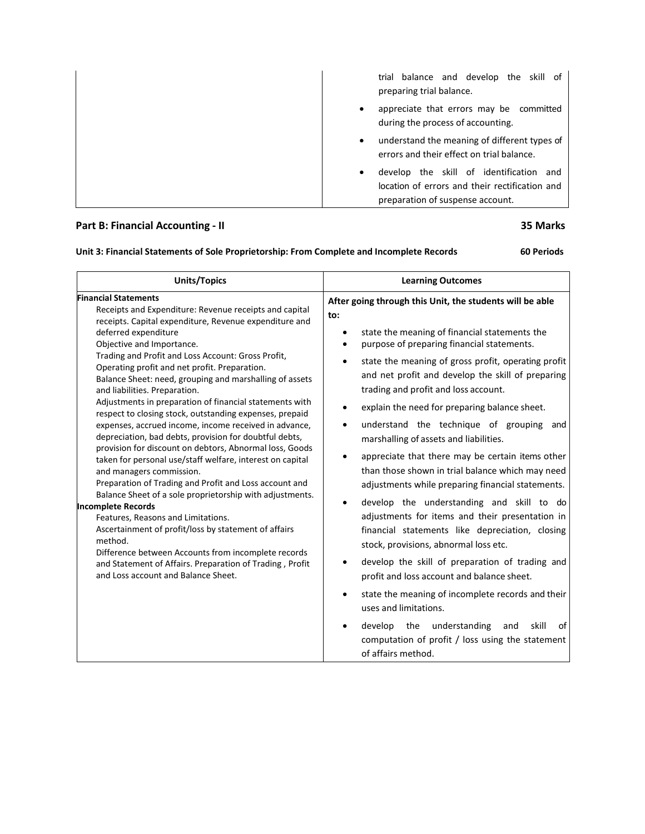| trial balance and develop the skill of<br>preparing trial balance.                                                                 |
|------------------------------------------------------------------------------------------------------------------------------------|
| appreciate that errors may be committed<br>٠<br>during the process of accounting.                                                  |
| understand the meaning of different types of<br>$\bullet$<br>errors and their effect on trial balance.                             |
| develop the skill of identification and<br>٠<br>location of errors and their rectification and<br>preparation of suspense account. |

# **Part B: Financial Accounting - II 35 Marks**

# **Unit 3: Financial Statements of Sole Proprietorship: From Complete and Incomplete Records 60 Periods**

| <b>Units/Topics</b>                                                                                                                                                                                                                                                                                                                                                                                                                                                                                                                                                                                                                                                                                                                                                                                                                                                                                                                                                                                                                                                                                                                                                                                                        | <b>Learning Outcomes</b>                                                                                                                                                                                                                                                                                                                                                                                                                                                                                                                                                                                                                                                                                                                                                                                                                                                                                                                                                                                                                                                                                                                                                      |  |  |
|----------------------------------------------------------------------------------------------------------------------------------------------------------------------------------------------------------------------------------------------------------------------------------------------------------------------------------------------------------------------------------------------------------------------------------------------------------------------------------------------------------------------------------------------------------------------------------------------------------------------------------------------------------------------------------------------------------------------------------------------------------------------------------------------------------------------------------------------------------------------------------------------------------------------------------------------------------------------------------------------------------------------------------------------------------------------------------------------------------------------------------------------------------------------------------------------------------------------------|-------------------------------------------------------------------------------------------------------------------------------------------------------------------------------------------------------------------------------------------------------------------------------------------------------------------------------------------------------------------------------------------------------------------------------------------------------------------------------------------------------------------------------------------------------------------------------------------------------------------------------------------------------------------------------------------------------------------------------------------------------------------------------------------------------------------------------------------------------------------------------------------------------------------------------------------------------------------------------------------------------------------------------------------------------------------------------------------------------------------------------------------------------------------------------|--|--|
| <b>Financial Statements</b><br>Receipts and Expenditure: Revenue receipts and capital<br>receipts. Capital expenditure, Revenue expenditure and<br>deferred expenditure<br>Objective and Importance.<br>Trading and Profit and Loss Account: Gross Profit,<br>Operating profit and net profit. Preparation.<br>Balance Sheet: need, grouping and marshalling of assets<br>and liabilities. Preparation.<br>Adjustments in preparation of financial statements with<br>respect to closing stock, outstanding expenses, prepaid<br>expenses, accrued income, income received in advance,<br>depreciation, bad debts, provision for doubtful debts,<br>provision for discount on debtors, Abnormal loss, Goods<br>taken for personal use/staff welfare, interest on capital<br>and managers commission.<br>Preparation of Trading and Profit and Loss account and<br>Balance Sheet of a sole proprietorship with adjustments.<br><b>Incomplete Records</b><br>Features, Reasons and Limitations.<br>Ascertainment of profit/loss by statement of affairs<br>method.<br>Difference between Accounts from incomplete records<br>and Statement of Affairs. Preparation of Trading, Profit<br>and Loss account and Balance Sheet. | After going through this Unit, the students will be able<br>to:<br>state the meaning of financial statements the<br>purpose of preparing financial statements.<br>state the meaning of gross profit, operating profit<br>$\bullet$<br>and net profit and develop the skill of preparing<br>trading and profit and loss account.<br>explain the need for preparing balance sheet.<br>understand the technique of grouping<br>and<br>$\bullet$<br>marshalling of assets and liabilities.<br>appreciate that there may be certain items other<br>$\bullet$<br>than those shown in trial balance which may need<br>adjustments while preparing financial statements.<br>develop the understanding and skill to do<br>٠<br>adjustments for items and their presentation in<br>financial statements like depreciation, closing<br>stock, provisions, abnormal loss etc.<br>develop the skill of preparation of trading and<br>profit and loss account and balance sheet.<br>state the meaning of incomplete records and their<br>uses and limitations.<br>develop the understanding<br>skill<br>and<br>οf<br>computation of profit / loss using the statement<br>of affairs method. |  |  |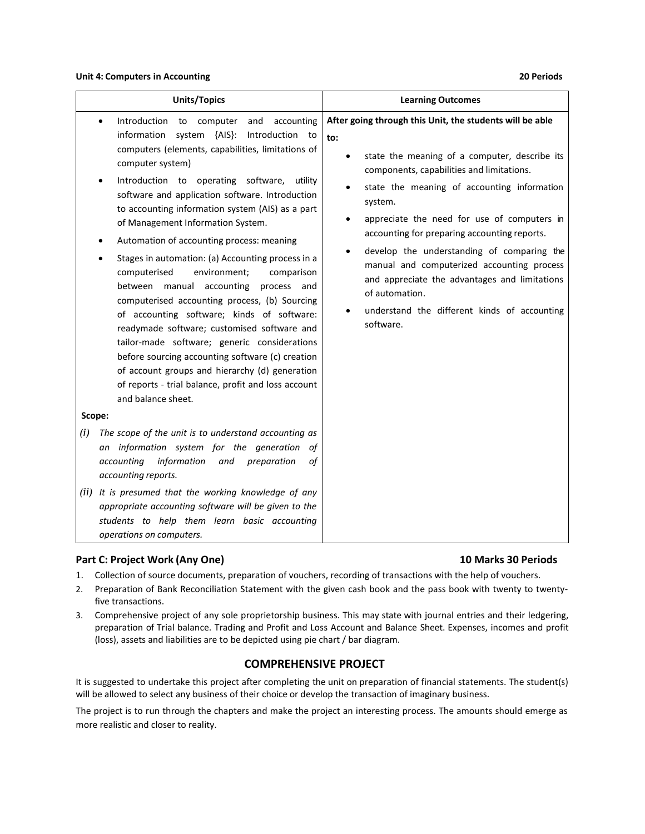#### **Unit 4: Computers in Accounting 20 Periods**

| <b>Units/Topics</b>                                                                                                                                                                                                                                                                                                                                                                                                                                                                                                                                                                                                                                                                                                                                                                                                                                                                                                                                                                                                                                                                                                                                                                                                                                                                                                                                                                       | <b>Learning Outcomes</b>                                                                                                                                                                                                                                                                                                                                                                                                                                                                                                                                                                  |
|-------------------------------------------------------------------------------------------------------------------------------------------------------------------------------------------------------------------------------------------------------------------------------------------------------------------------------------------------------------------------------------------------------------------------------------------------------------------------------------------------------------------------------------------------------------------------------------------------------------------------------------------------------------------------------------------------------------------------------------------------------------------------------------------------------------------------------------------------------------------------------------------------------------------------------------------------------------------------------------------------------------------------------------------------------------------------------------------------------------------------------------------------------------------------------------------------------------------------------------------------------------------------------------------------------------------------------------------------------------------------------------------|-------------------------------------------------------------------------------------------------------------------------------------------------------------------------------------------------------------------------------------------------------------------------------------------------------------------------------------------------------------------------------------------------------------------------------------------------------------------------------------------------------------------------------------------------------------------------------------------|
| Introduction<br>to computer<br>and<br>accounting<br>$\bullet$<br>system {AIS}:<br>information<br>Introduction to<br>computers (elements, capabilities, limitations of<br>computer system)<br>Introduction to operating software,<br>utility<br>$\bullet$<br>software and application software. Introduction<br>to accounting information system (AIS) as a part<br>of Management Information System.<br>Automation of accounting process: meaning<br>Stages in automation: (a) Accounting process in a<br>computerised<br>environment;<br>comparison<br>between manual accounting<br>process and<br>computerised accounting process, (b) Sourcing<br>of accounting software; kinds of software:<br>readymade software; customised software and<br>tailor-made software; generic considerations<br>before sourcing accounting software (c) creation<br>of account groups and hierarchy (d) generation<br>of reports - trial balance, profit and loss account<br>and balance sheet.<br>Scope:<br>(i)<br>The scope of the unit is to understand accounting as<br>an information system for the generation<br>οf<br>accounting<br>information<br>preparation<br>and<br>of<br>accounting reports.<br>(ii) It is presumed that the working knowledge of any<br>appropriate accounting software will be given to the<br>students to help them learn basic accounting<br>operations on computers. | After going through this Unit, the students will be able<br>to:<br>state the meaning of a computer, describe its<br>$\bullet$<br>components, capabilities and limitations.<br>state the meaning of accounting information<br>system.<br>appreciate the need for use of computers in<br>$\bullet$<br>accounting for preparing accounting reports.<br>develop the understanding of comparing the<br>$\bullet$<br>manual and computerized accounting process<br>and appreciate the advantages and limitations<br>of automation.<br>understand the different kinds of accounting<br>software. |
| Part C: Project Work (Any One)                                                                                                                                                                                                                                                                                                                                                                                                                                                                                                                                                                                                                                                                                                                                                                                                                                                                                                                                                                                                                                                                                                                                                                                                                                                                                                                                                            | 10 Marks 30 Periods                                                                                                                                                                                                                                                                                                                                                                                                                                                                                                                                                                       |

- 1. Collection of source documents, preparation of vouchers, recording of transactions with the help of vouchers.
- 2. Preparation of Bank Reconciliation Statement with the given cash book and the pass book with twenty to twentyfive transactions.
- 3. Comprehensive project of any sole proprietorship business. This may state with journal entries and their ledgering, preparation of Trial balance. Trading and Profit and Loss Account and Balance Sheet. Expenses, incomes and profit (loss), assets and liabilities are to be depicted using pie chart / bar diagram.

# **COMPREHENSIVE PROJECT**

It is suggested to undertake this project after completing the unit on preparation of financial statements. The student(s) will be allowed to select any business of their choice or develop the transaction of imaginary business.

The project is to run through the chapters and make the project an interesting process. The amounts should emerge as more realistic and closer to reality.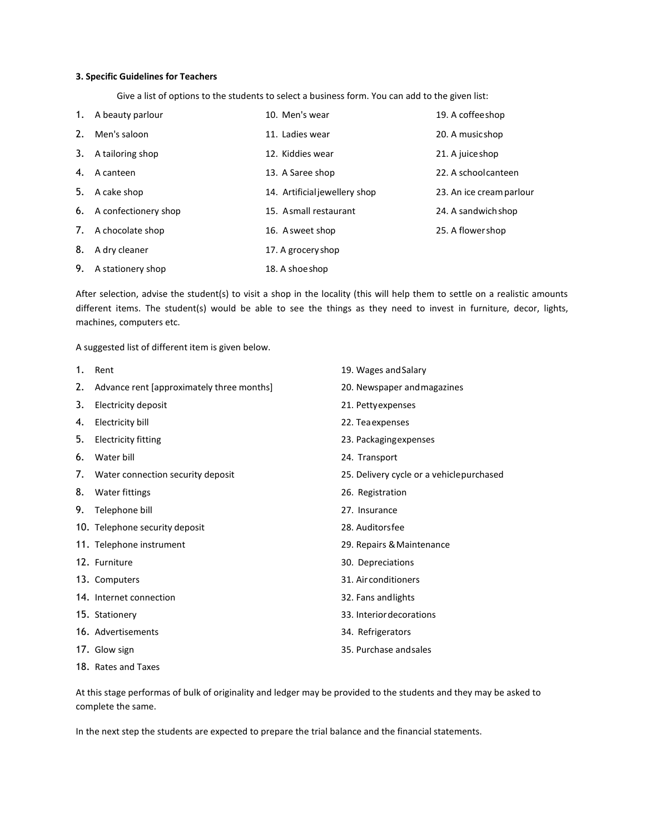### **3. Specific Guidelines for Teachers**

Give a list of options to the students to select a business form. You can add to the given list:

| 1. | A beauty parlour        | 10. Men's wear                | 19. A coffee shop        |
|----|-------------------------|-------------------------------|--------------------------|
| 2. | Men's saloon            | 11. Ladies wear               | 20. A music shop         |
|    | 3. A tailoring shop     | 12. Kiddies wear              | 21. A juice shop         |
| 4. | A canteen               | 13. A Saree shop              | 22. A school canteen     |
| 5. | A cake shop             | 14. Artificial jewellery shop | 23. An ice cream parlour |
|    | 6. A confectionery shop | 15. Asmall restaurant         | 24. A sandwich shop      |
|    | 7. A chocolate shop     | 16. A sweet shop              | 25. A flower shop        |
| 8. | A dry cleaner           | 17. A grocery shop            |                          |
| 9. | A stationery shop       | 18. A shoe shop               |                          |

After selection, advise the student(s) to visit a shop in the locality (this will help them to settle on a realistic amounts different items. The student(s) would be able to see the things as they need to invest in furniture, decor, lights, machines, computers etc.

A suggested list of different item is given below.

| 1. | Rent                                      | 19. Wages and Salary                     |
|----|-------------------------------------------|------------------------------------------|
| 2. | Advance rent [approximately three months] | 20. Newspaper and magazines              |
| 3. | Electricity deposit                       | 21. Petty expenses                       |
| 4. | Electricity bill                          | 22. Tea expenses                         |
| 5. | <b>Electricity fitting</b>                | 23. Packaging expenses                   |
| 6. | Water bill                                | 24. Transport                            |
| 7. | Water connection security deposit         | 25. Delivery cycle or a vehiclepurchased |
| 8. | Water fittings                            | 26. Registration                         |
| 9. | Telephone bill                            | 27. Insurance                            |
|    | 10. Telephone security deposit            | 28. Auditorsfee                          |
|    | 11. Telephone instrument                  | 29. Repairs & Maintenance                |
|    | 12. Furniture                             | 30. Depreciations                        |
|    | 13. Computers                             | 31. Airconditioners                      |
|    | 14. Internet connection                   | 32. Fans and lights                      |
|    | 15. Stationery                            | 33. Interior decorations                 |
|    | 16. Advertisements                        | 34. Refrigerators                        |
|    | 17. Glow sign                             | 35. Purchase and sales                   |
|    | 18. Rates and Taxes                       |                                          |

At this stage performas of bulk of originality and ledger may be provided to the students and they may be asked to complete the same.

In the next step the students are expected to prepare the trial balance and the financial statements.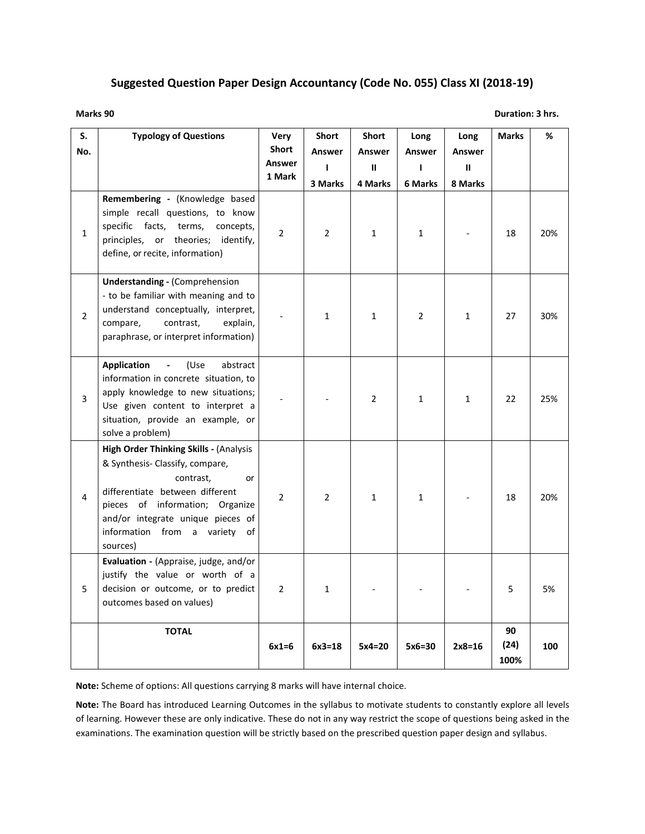# **Suggested Question Paper Design Accountancy (Code No. 055) Class XI (2018-19)**

```
Marks 90 Duration: 3 hrs.
```

| S.<br>No.      | <b>Typology of Questions</b>                                                                                                                                                                                                                            | Very<br><b>Short</b><br>Answer<br>1 Mark | Short<br>Answer<br>$\mathbf{I}$<br>3 Marks | Short<br>Answer<br>$\mathbf{II}$<br>4 Marks | Long<br>Answer<br>L<br>6 Marks | Long<br>Answer<br>$\mathbf{II}$<br>8 Marks | <b>Marks</b>       | %   |
|----------------|---------------------------------------------------------------------------------------------------------------------------------------------------------------------------------------------------------------------------------------------------------|------------------------------------------|--------------------------------------------|---------------------------------------------|--------------------------------|--------------------------------------------|--------------------|-----|
| $\mathbf{1}$   | Remembering - (Knowledge based<br>simple recall questions, to know<br>specific facts,<br>terms,<br>concepts,<br>principles, or theories; identify,<br>define, or recite, information)                                                                   | $\overline{2}$                           | $\overline{2}$                             | $\mathbf{1}$                                | $\mathbf{1}$                   |                                            | 18                 | 20% |
| $\overline{2}$ | <b>Understanding - (Comprehension</b><br>- to be familiar with meaning and to<br>understand conceptually, interpret,<br>compare,<br>contrast,<br>explain,<br>paraphrase, or interpret information)                                                      |                                          | $\mathbf{1}$                               | $\mathbf{1}$                                | $\overline{2}$                 | $\mathbf{1}$                               | 27                 | 30% |
| 3              | (Use<br><b>Application</b><br>abstract<br>information in concrete situation, to<br>apply knowledge to new situations;<br>Use given content to interpret a<br>situation, provide an example, or<br>solve a problem)                                      |                                          |                                            | $\overline{2}$                              | 1                              | $\mathbf{1}$                               | 22                 | 25% |
| 4              | High Order Thinking Skills - (Analysis<br>& Synthesis- Classify, compare,<br>contrast,<br>or<br>differentiate between different<br>pieces of information; Organize<br>and/or integrate unique pieces of<br>information from a variety<br>of<br>sources) | $\overline{2}$                           | $\overline{2}$                             | $\mathbf{1}$                                | $\mathbf{1}$                   |                                            | 18                 | 20% |
| 5              | Evaluation - (Appraise, judge, and/or<br>justify the value or worth of a<br>decision or outcome, or to predict<br>outcomes based on values)                                                                                                             | $\overline{2}$                           | $\mathbf{1}$                               |                                             |                                |                                            | 5                  | 5%  |
|                | <b>TOTAL</b>                                                                                                                                                                                                                                            | $6x1=6$                                  | $6x3=18$                                   | $5x4=20$                                    | $5x6=30$                       | $2x8=16$                                   | 90<br>(24)<br>100% | 100 |

**Note:** Scheme of options: All questions carrying 8 marks will have internal choice.

**Note:** The Board has introduced Learning Outcomes in the syllabus to motivate students to constantly explore all levels of learning. However these are only indicative. These do not in any way restrict the scope of questions being asked in the examinations. The examination question will be strictly based on the prescribed question paper design and syllabus.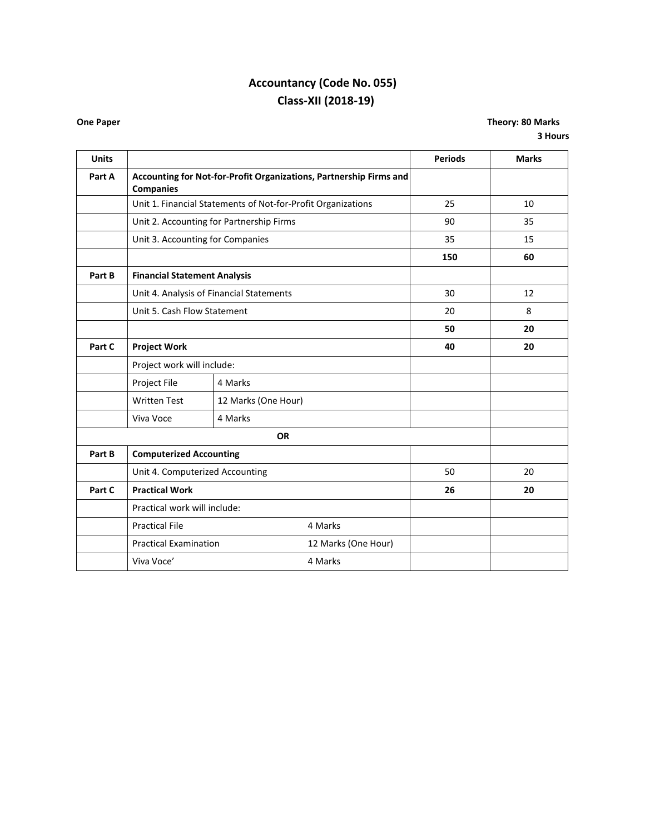# **Accountancy (Code No. 055) Class-XII (2018-19)**

**One Paper Theory: 80 Marks 3 Hours**

| <b>Units</b> |                                                                                        |                                                              |    | <b>Periods</b> | <b>Marks</b> |
|--------------|----------------------------------------------------------------------------------------|--------------------------------------------------------------|----|----------------|--------------|
| Part A       | Accounting for Not-for-Profit Organizations, Partnership Firms and<br><b>Companies</b> |                                                              |    |                |              |
|              |                                                                                        | Unit 1. Financial Statements of Not-for-Profit Organizations |    | 25             | 10           |
|              |                                                                                        | Unit 2. Accounting for Partnership Firms                     |    | 90             | 35           |
|              | Unit 3. Accounting for Companies                                                       |                                                              |    | 35             | 15           |
|              |                                                                                        |                                                              |    | 150            | 60           |
| Part B       | <b>Financial Statement Analysis</b>                                                    |                                                              |    |                |              |
|              |                                                                                        | Unit 4. Analysis of Financial Statements                     |    | 30             | 12           |
|              | Unit 5. Cash Flow Statement                                                            |                                                              |    | 20             | 8            |
|              |                                                                                        |                                                              |    | 50             | 20           |
| Part C       | <b>Project Work</b>                                                                    |                                                              |    | 40             | 20           |
|              |                                                                                        | Project work will include:                                   |    |                |              |
|              | Project File                                                                           | 4 Marks                                                      |    |                |              |
|              | <b>Written Test</b>                                                                    | 12 Marks (One Hour)                                          |    |                |              |
|              | Viva Voce<br>4 Marks                                                                   |                                                              |    |                |              |
|              | <b>OR</b>                                                                              |                                                              |    |                |              |
| Part B       | <b>Computerized Accounting</b>                                                         |                                                              |    |                |              |
|              | Unit 4. Computerized Accounting                                                        |                                                              |    | 50             | 20           |
| Part C       | <b>Practical Work</b>                                                                  |                                                              | 26 | 20             |              |
|              | Practical work will include:                                                           |                                                              |    |                |              |
|              | <b>Practical File</b>                                                                  | 4 Marks                                                      |    |                |              |
|              |                                                                                        | <b>Practical Examination</b><br>12 Marks (One Hour)          |    |                |              |
|              | Viva Voce'<br>4 Marks                                                                  |                                                              |    |                |              |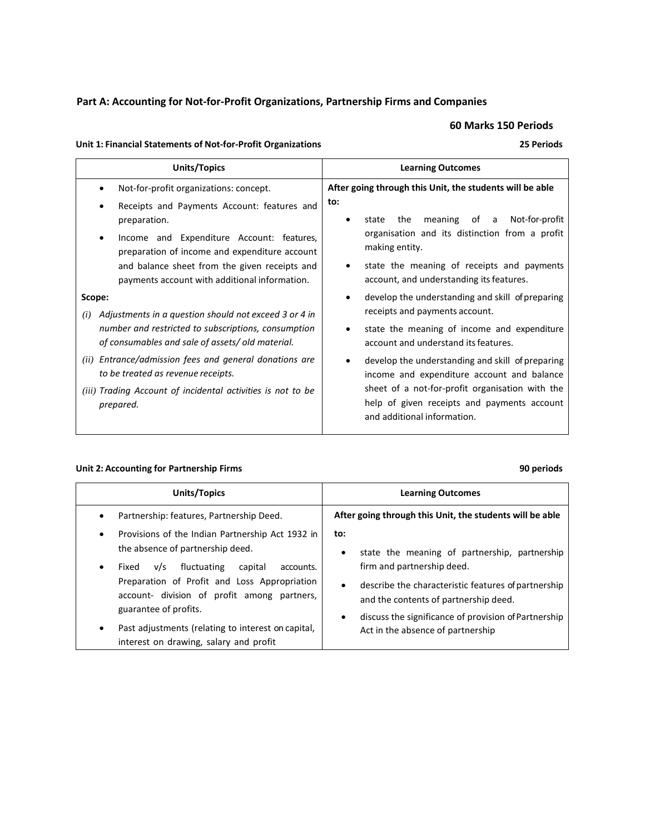# **Part A: Accounting for Not-for-Profit Organizations, Partnership Firms and Companies**

**60 Marks 150 Periods**

# **Unit 1: Financial Statements of Not-for-Profit Organizations 25 Periods**

| Units/Topics                                                                                                                                                                                                                                                                                                                                                                                                                                | <b>Learning Outcomes</b>                                                                                                                                                                                                                                                                                                                                                                                                          |  |  |
|---------------------------------------------------------------------------------------------------------------------------------------------------------------------------------------------------------------------------------------------------------------------------------------------------------------------------------------------------------------------------------------------------------------------------------------------|-----------------------------------------------------------------------------------------------------------------------------------------------------------------------------------------------------------------------------------------------------------------------------------------------------------------------------------------------------------------------------------------------------------------------------------|--|--|
| Not-for-profit organizations: concept.<br>Receipts and Payments Account: features and<br>preparation.<br>Income and Expenditure Account: features,<br>٠<br>preparation of income and expenditure account<br>and balance sheet from the given receipts and<br>payments account with additional information.<br>Scope:<br>Adjustments in a question should not exceed 3 or 4 in<br>(i)<br>number and restricted to subscriptions, consumption | After going through this Unit, the students will be able<br>to:<br>meaning of a<br>Not-for-profit<br>the<br>state<br>organisation and its distinction from a profit<br>making entity.<br>state the meaning of receipts and payments<br>account, and understanding its features.<br>develop the understanding and skill of preparing<br>$\bullet$<br>receipts and payments account.<br>state the meaning of income and expenditure |  |  |
| of consumables and sale of assets/old material.<br>(ii) Entrance/admission fees and general donations are<br>to be treated as revenue receipts.<br>(iii) Trading Account of incidental activities is not to be<br>prepared.                                                                                                                                                                                                                 | account and understand its features.<br>develop the understanding and skill of preparing<br>income and expenditure account and balance<br>sheet of a not-for-profit organisation with the<br>help of given receipts and payments account<br>and additional information.                                                                                                                                                           |  |  |

# **Unit 2: Accounting for Partnership Firms 90 periods**

| Units/Topics                                                                                                                                                                                                                                                                                                                                                                                                                        | <b>Learning Outcomes</b>                                                                                                                                                                                                                                                                                                                                                           |  |
|-------------------------------------------------------------------------------------------------------------------------------------------------------------------------------------------------------------------------------------------------------------------------------------------------------------------------------------------------------------------------------------------------------------------------------------|------------------------------------------------------------------------------------------------------------------------------------------------------------------------------------------------------------------------------------------------------------------------------------------------------------------------------------------------------------------------------------|--|
| Partnership: features, Partnership Deed.<br>٠<br>Provisions of the Indian Partnership Act 1932 in<br>٠<br>the absence of partnership deed.<br>fluctuating<br>capital<br>v/s<br>accounts.<br>Fixed<br>٠<br>Preparation of Profit and Loss Appropriation<br>account- division of profit among partners,<br>guarantee of profits.<br>Past adjustments (relating to interest on capital,<br>٠<br>interest on drawing, salary and profit | After going through this Unit, the students will be able<br>to:<br>state the meaning of partnership, partnership<br>$\bullet$<br>firm and partnership deed.<br>describe the characteristic features of partnership<br>$\bullet$<br>and the contents of partnership deed.<br>discuss the significance of provision of Partnership<br>$\bullet$<br>Act in the absence of partnership |  |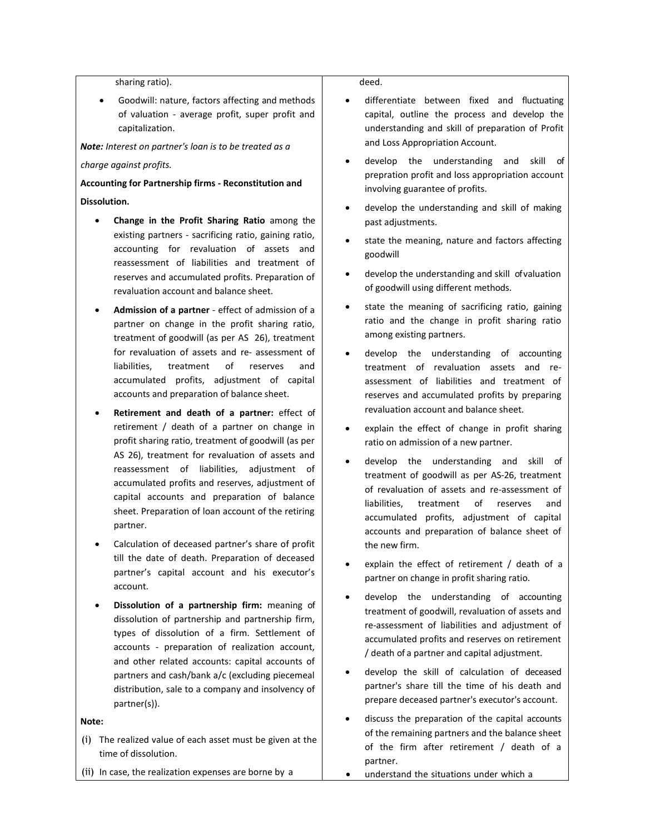sharing ratio).

 Goodwill: nature, factors affecting and methods of valuation - average profit, super profit and capitalization.

*Note: Interest on partner's loan is to be treated as a* 

#### *charge against profits.*

# **Accounting for Partnership firms - Reconstitution and Dissolution.**

- **Change in the Profit Sharing Ratio** among the existing partners - sacrificing ratio, gaining ratio, accounting for revaluation of assets and reassessment of liabilities and treatment of reserves and accumulated profits. Preparation of revaluation account and balance sheet.
- **Admission of a partner**  effect of admission of a partner on change in the profit sharing ratio, treatment of goodwill (as per AS 26), treatment for revaluation of assets and re- assessment of liabilities, treatment of reserves and accumulated profits, adjustment of capital accounts and preparation of balance sheet.
- **Retirement and death of a partner:** effect of retirement / death of a partner on change in profit sharing ratio, treatment of goodwill (as per AS 26), treatment for revaluation of assets and reassessment of liabilities, adjustment of accumulated profits and reserves, adjustment of capital accounts and preparation of balance sheet. Preparation of loan account of the retiring partner.
- Calculation of deceased partner's share of profit till the date of death. Preparation of deceased partner's capital account and his executor's account.
- **Dissolution of a partnership firm:** meaning of dissolution of partnership and partnership firm, types of dissolution of a firm. Settlement of accounts - preparation of realization account, and other related accounts: capital accounts of partners and cash/bank a/c (excluding piecemeal distribution, sale to a company and insolvency of partner(s)).

**Note:**

- (i) The realized value of each asset must be given at the time of dissolution.
- (ii) In case, the realization expenses are borne by a

deed.

- differentiate between fixed and fluctuating capital, outline the process and develop the understanding and skill of preparation of Profit and Loss Appropriation Account.
- develop the understanding and skill of prepration profit and loss appropriation account involving guarantee of profits.
- develop the understanding and skill of making past adjustments.
- state the meaning, nature and factors affecting goodwill
- develop the understanding and skill of valuation of goodwill using different methods.
- state the meaning of sacrificing ratio, gaining ratio and the change in profit sharing ratio among existing partners.
- develop the understanding of accounting treatment of revaluation assets and reassessment of liabilities and treatment of reserves and accumulated profits by preparing revaluation account and balance sheet.
- explain the effect of change in profit sharing ratio on admission of a new partner.
- develop the understanding and skill of treatment of goodwill as per AS-26, treatment of revaluation of assets and re-assessment of liabilities, treatment of reserves and accumulated profits, adjustment of capital accounts and preparation of balance sheet of the new firm.
- explain the effect of retirement / death of a partner on change in profit sharing ratio.
- develop the understanding of accounting treatment of goodwill, revaluation of assets and re-assessment of liabilities and adjustment of accumulated profits and reserves on retirement / death of a partner and capital adjustment.
- develop the skill of calculation of deceased partner's share till the time of his death and prepare deceased partner's executor's account.
- discuss the preparation of the capital accounts of the remaining partners and the balance sheet of the firm after retirement / death of a partner.
- understand the situations under which a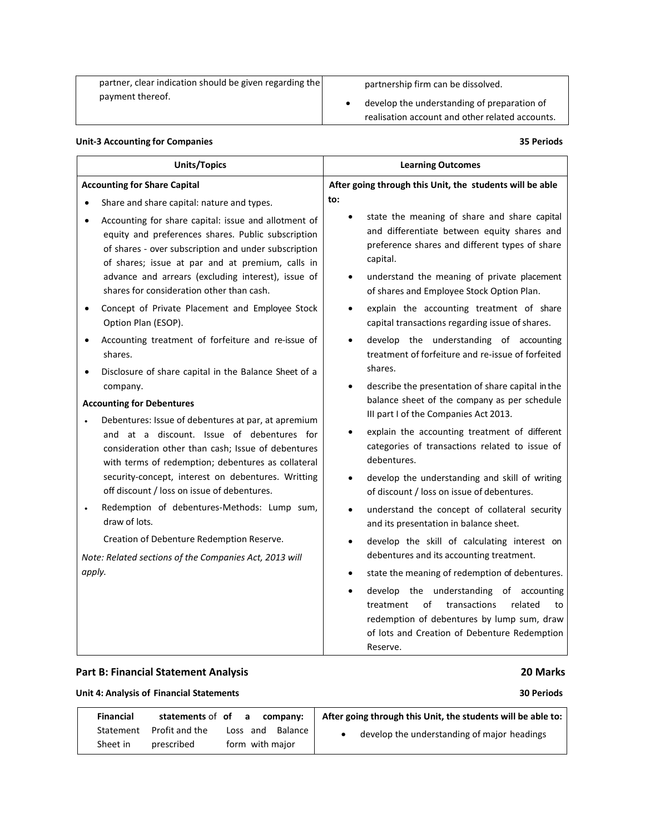| partner, clear indication should be given regarding the | partnership firm can be dissolved.              |
|---------------------------------------------------------|-------------------------------------------------|
| payment thereof.                                        | develop the understanding of preparation of     |
|                                                         | realisation account and other related accounts. |

## **Unit-3 Accounting for Companies 35 Periods**

| <b>Units/Topics</b>                                                                                                                                                                                                                                                                                                                    | <b>Learning Outcomes</b>                                                                                                                                                                                                                                                        |  |  |  |  |
|----------------------------------------------------------------------------------------------------------------------------------------------------------------------------------------------------------------------------------------------------------------------------------------------------------------------------------------|---------------------------------------------------------------------------------------------------------------------------------------------------------------------------------------------------------------------------------------------------------------------------------|--|--|--|--|
| <b>Accounting for Share Capital</b>                                                                                                                                                                                                                                                                                                    | After going through this Unit, the students will be able                                                                                                                                                                                                                        |  |  |  |  |
| Share and share capital: nature and types.                                                                                                                                                                                                                                                                                             | to:                                                                                                                                                                                                                                                                             |  |  |  |  |
| Accounting for share capital: issue and allotment of<br>$\bullet$<br>equity and preferences shares. Public subscription<br>of shares - over subscription and under subscription<br>of shares; issue at par and at premium, calls in<br>advance and arrears (excluding interest), issue of<br>shares for consideration other than cash. | state the meaning of share and share capital<br>$\bullet$<br>and differentiate between equity shares and<br>preference shares and different types of share<br>capital.<br>understand the meaning of private placement<br>$\bullet$<br>of shares and Employee Stock Option Plan. |  |  |  |  |
| Concept of Private Placement and Employee Stock<br>Option Plan (ESOP).                                                                                                                                                                                                                                                                 | explain the accounting treatment of share<br>capital transactions regarding issue of shares.                                                                                                                                                                                    |  |  |  |  |
| Accounting treatment of forfeiture and re-issue of<br>shares.                                                                                                                                                                                                                                                                          | develop the understanding of accounting<br>treatment of forfeiture and re-issue of forfeited                                                                                                                                                                                    |  |  |  |  |
| Disclosure of share capital in the Balance Sheet of a                                                                                                                                                                                                                                                                                  | shares.                                                                                                                                                                                                                                                                         |  |  |  |  |
| company.                                                                                                                                                                                                                                                                                                                               | describe the presentation of share capital in the<br>$\bullet$                                                                                                                                                                                                                  |  |  |  |  |
| <b>Accounting for Debentures</b>                                                                                                                                                                                                                                                                                                       | balance sheet of the company as per schedule<br>III part I of the Companies Act 2013.                                                                                                                                                                                           |  |  |  |  |
| Debentures: Issue of debentures at par, at apremium<br>and at a discount. Issue of debentures for<br>consideration other than cash; Issue of debentures<br>with terms of redemption; debentures as collateral                                                                                                                          | explain the accounting treatment of different<br>categories of transactions related to issue of<br>debentures.                                                                                                                                                                  |  |  |  |  |
| security-concept, interest on debentures. Writting<br>off discount / loss on issue of debentures.                                                                                                                                                                                                                                      | develop the understanding and skill of writing<br>$\bullet$<br>of discount / loss on issue of debentures.                                                                                                                                                                       |  |  |  |  |
| Redemption of debentures-Methods: Lump sum,<br>draw of lots.                                                                                                                                                                                                                                                                           | understand the concept of collateral security<br>$\bullet$<br>and its presentation in balance sheet.                                                                                                                                                                            |  |  |  |  |
| Creation of Debenture Redemption Reserve.                                                                                                                                                                                                                                                                                              | develop the skill of calculating interest on<br>$\bullet$                                                                                                                                                                                                                       |  |  |  |  |
| Note: Related sections of the Companies Act, 2013 will                                                                                                                                                                                                                                                                                 | debentures and its accounting treatment.                                                                                                                                                                                                                                        |  |  |  |  |
| apply.                                                                                                                                                                                                                                                                                                                                 | state the meaning of redemption of debentures.                                                                                                                                                                                                                                  |  |  |  |  |
|                                                                                                                                                                                                                                                                                                                                        | develop the understanding of accounting<br>$\bullet$<br>of<br>transactions<br>related<br>treatment<br>to<br>redemption of debentures by lump sum, draw<br>of lots and Creation of Debenture Redemption<br>Reserve.                                                              |  |  |  |  |

# **Part B: Financial Statement Analysis 20 Marks**

**Unit 4: Analysis of Financial Statements 30 Periods**

| <b>Financial</b> | statements of of | a, | company:                   | After going through this Unit, the students will be able to: |
|------------------|------------------|----|----------------------------|--------------------------------------------------------------|
| Statement        | Profit and the   |    | <b>Balance</b><br>Loss and | develop the understanding of major headings                  |
| Sheet in         | prescribed       |    | form with major            |                                                              |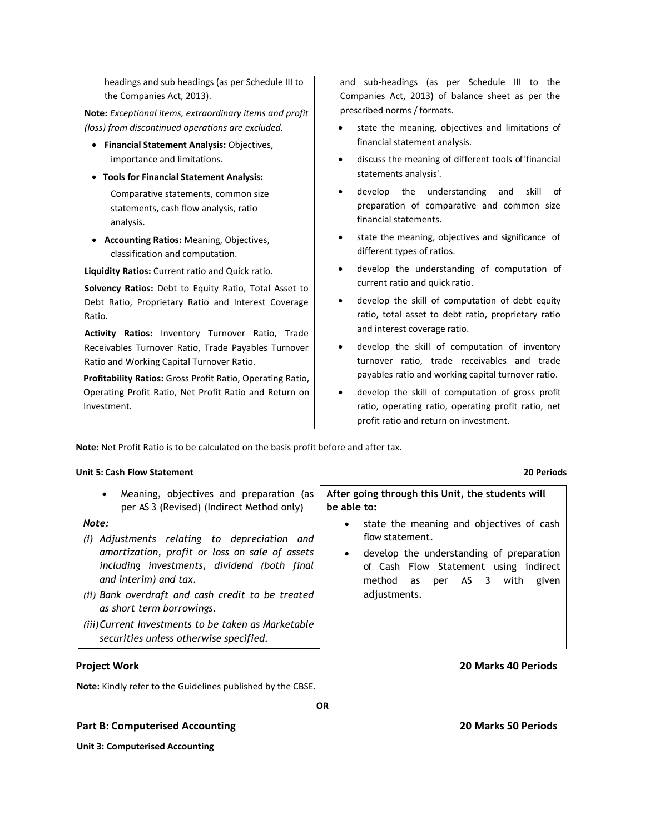| headings and sub headings (as per Schedule III to                                         | and sub-headings (as per Schedule III to the                                                                                           |  |  |  |  |  |
|-------------------------------------------------------------------------------------------|----------------------------------------------------------------------------------------------------------------------------------------|--|--|--|--|--|
| the Companies Act, 2013).                                                                 | Companies Act, 2013) of balance sheet as per the                                                                                       |  |  |  |  |  |
| Note: Exceptional items, extraordinary items and profit                                   | prescribed norms / formats.                                                                                                            |  |  |  |  |  |
| (loss) from discontinued operations are excluded.                                         | state the meaning, objectives and limitations of                                                                                       |  |  |  |  |  |
| <b>Financial Statement Analysis: Objectives,</b>                                          | financial statement analysis.                                                                                                          |  |  |  |  |  |
| importance and limitations.                                                               | discuss the meaning of different tools of 'financial<br>$\bullet$                                                                      |  |  |  |  |  |
| <b>Tools for Financial Statement Analysis:</b>                                            | statements analysis'.                                                                                                                  |  |  |  |  |  |
| Comparative statements, common size<br>statements, cash flow analysis, ratio<br>analysis. | develop<br>the understanding<br>and<br>skill<br>of<br>$\bullet$<br>preparation of comparative and common size<br>financial statements. |  |  |  |  |  |
| <b>Accounting Ratios:</b> Meaning, Objectives,<br>classification and computation.         | state the meaning, objectives and significance of<br>٠<br>different types of ratios.                                                   |  |  |  |  |  |
| <b>Liquidity Ratios:</b> Current ratio and Quick ratio.                                   | develop the understanding of computation of<br>٠                                                                                       |  |  |  |  |  |
| Solvency Ratios: Debt to Equity Ratio, Total Asset to                                     | current ratio and quick ratio.                                                                                                         |  |  |  |  |  |
| Debt Ratio, Proprietary Ratio and Interest Coverage<br>Ratio.                             | develop the skill of computation of debt equity<br>٠<br>ratio, total asset to debt ratio, proprietary ratio                            |  |  |  |  |  |
| Activity Ratios: Inventory Turnover Ratio, Trade                                          | and interest coverage ratio.                                                                                                           |  |  |  |  |  |
| Receivables Turnover Ratio, Trade Payables Turnover                                       | develop the skill of computation of inventory<br>٠                                                                                     |  |  |  |  |  |
| Ratio and Working Capital Turnover Ratio.                                                 | turnover ratio, trade receivables and trade                                                                                            |  |  |  |  |  |
|                                                                                           | payables ratio and working capital turnover ratio.                                                                                     |  |  |  |  |  |
| Profitability Ratios: Gross Profit Ratio, Operating Ratio,                                |                                                                                                                                        |  |  |  |  |  |
| Operating Profit Ratio, Net Profit Ratio and Return on                                    | develop the skill of computation of gross profit                                                                                       |  |  |  |  |  |
| Investment.                                                                               | ratio, operating ratio, operating profit ratio, net                                                                                    |  |  |  |  |  |
|                                                                                           | profit ratio and return on investment.                                                                                                 |  |  |  |  |  |

**Note:** Net Profit Ratio is to be calculated on the basis profit before and after tax.

## **Unit 5: Cash Flow Statement 20 Periods**

| Meaning, objectives and preparation (as<br>$\bullet$<br>per AS 3 (Revised) (Indirect Method only)                                                                                     | After going through this Unit, the students will<br>be able to:                                                                                                                                           |  |  |  |
|---------------------------------------------------------------------------------------------------------------------------------------------------------------------------------------|-----------------------------------------------------------------------------------------------------------------------------------------------------------------------------------------------------------|--|--|--|
| Note:<br>Adjustments relating to depreciation<br>(i)<br>and<br>amortization, profit or loss on sale of assets<br>including investments, dividend (both final<br>and interim) and tax. | state the meaning and objectives of cash<br>$\bullet$<br>flow statement.<br>• develop the understanding of preparation<br>of Cash Flow Statement using indirect<br>per AS 3 with<br>method<br>given<br>as |  |  |  |
| (ii) Bank overdraft and cash credit to be treated<br>as short term borrowings.                                                                                                        | adjustments.                                                                                                                                                                                              |  |  |  |
| (iii) Current Investments to be taken as Marketable<br>securities unless otherwise specified.                                                                                         |                                                                                                                                                                                                           |  |  |  |

**Note:** Kindly refer to the Guidelines published by the CBSE.

## **Part B: Computerised Accounting 20 Marks 50 Periods**

**Unit 3: Computerised Accounting**

# **Project Work 20 Marks 40 Periods**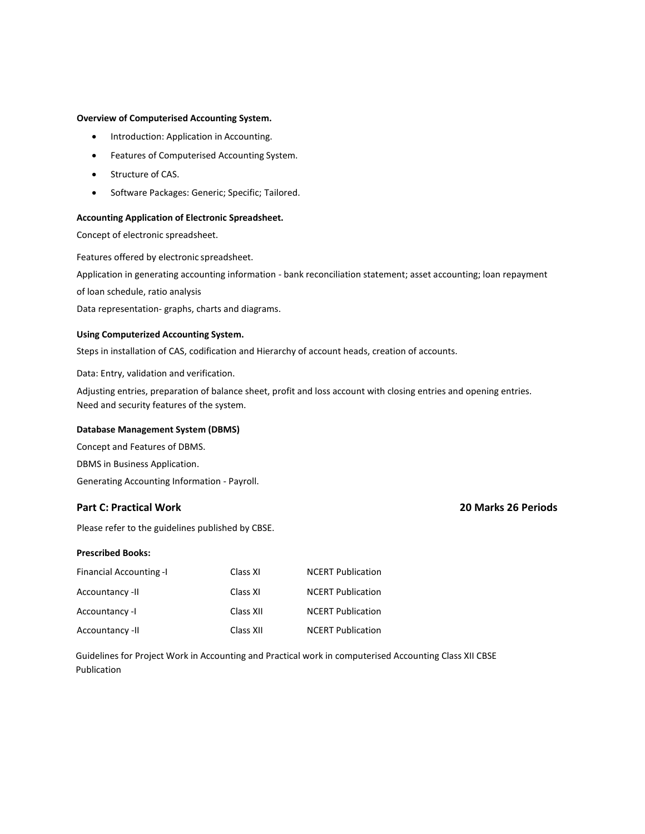#### **Overview of Computerised Accounting System.**

- Introduction: Application in Accounting.
- Features of Computerised Accounting System.
- Structure of CAS.
- Software Packages: Generic; Specific; Tailored.

#### **Accounting Application of Electronic Spreadsheet.**

Concept of electronic spreadsheet.

Features offered by electronic spreadsheet.

Application in generating accounting information - bank reconciliation statement; asset accounting; loan repayment

of loan schedule, ratio analysis

Data representation- graphs, charts and diagrams.

#### **Using Computerized Accounting System.**

Steps in installation of CAS, codification and Hierarchy of account heads, creation of accounts.

Data: Entry, validation and verification.

Adjusting entries, preparation of balance sheet, profit and loss account with closing entries and opening entries. Need and security features of the system.

### **Database Management System (DBMS)**

Concept and Features of DBMS. DBMS in Business Application. Generating Accounting Information - Payroll.

### **Part C: Practical Work 20 Marks 26 Periods**

Please refer to the guidelines published by CBSE.

#### **Prescribed Books:**

| <b>Financial Accounting -I</b> | Class XI  | <b>NCERT Publication</b> |
|--------------------------------|-----------|--------------------------|
| Accountancy -II                | Class XI  | <b>NCERT Publication</b> |
| Accountancy -I                 | Class XII | <b>NCERT Publication</b> |
| Accountancy -II                | Class XII | <b>NCERT Publication</b> |

Guidelines for Project Work in Accounting and Practical work in computerised Accounting Class XII CBSE Publication